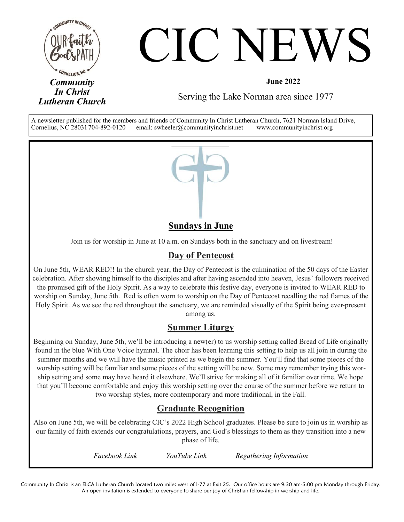

# CIC NEWS

Serving the Lake Norman area since 1977

A newsletter published for the members and friends of Community In Christ Lutheran Church, 7621 Norman Island Drive, Cornelius, NC 28031704-892-0120 email: swheeler@communityinchrist.net www.communityinchrist.org



#### **Sundays in June**

Join us for worship in June at 10 a.m. on Sundays both in the sanctuary and on livestream!

#### **Day of Pentecost**

On June 5th, WEAR RED!! In the church year, the Day of Pentecost is the culmination of the 50 days of the Easter celebration. After showing himself to the disciples and after having ascended into heaven, Jesus' followers received the promised gift of the Holy Spirit. As a way to celebrate this festive day, everyone is invited to WEAR RED to worship on Sunday, June 5th. Red is often worn to worship on the Day of Pentecost recalling the red flames of the Holy Spirit. As we see the red throughout the sanctuary, we are reminded visually of the Spirit being ever-present among us.

#### **Summer Liturgy**

Beginning on Sunday, June 5th, we'll be introducing a new(er) to us worship setting called Bread of Life originally found in the blue With One Voice hymnal. The choir has been learning this setting to help us all join in during the summer months and we will have the music printed as we begin the summer. You'll find that some pieces of the worship setting will be familiar and some pieces of the setting will be new. Some may remember trying this worship setting and some may have heard it elsewhere. We'll strive for making all of it familiar over time. We hope that you'll become comfortable and enjoy this worship setting over the course of the summer before we return to two worship styles, more contemporary and more traditional, in the Fall.

#### **Graduate Recognition**

Also on June 5th, we will be celebrating CIC's 2022 High School graduates. Please be sure to join us in worship as our family of faith extends our congratulations, prayers, and God's blessings to them as they transition into a new phase of life.

| Facebook Link | YouTube Link | Regathering Information |
|---------------|--------------|-------------------------|
|---------------|--------------|-------------------------|

Community In Christ is an ELCA Lutheran Church located two miles west of I-77 at Exit 25. Our office hours are 9:30 am-5:00 pm Monday through Friday. An open invitation is extended to everyone to share our joy of Christian fellowship in worship and life.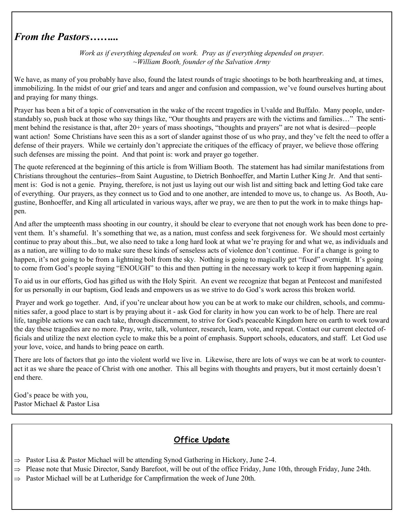### *From the Pastors……...*

*Work as if everything depended on work. Pray as if everything depended on prayer. ~William Booth, founder of the Salvation Army*

We have, as many of you probably have also, found the latest rounds of tragic shootings to be both heartbreaking and, at times, immobilizing. In the midst of our grief and tears and anger and confusion and compassion, we've found ourselves hurting about and praying for many things.

Prayer has been a bit of a topic of conversation in the wake of the recent tragedies in Uvalde and Buffalo. Many people, understandably so, push back at those who say things like, "Our thoughts and prayers are with the victims and families…" The sentiment behind the resistance is that, after 20+ years of mass shootings, "thoughts and prayers" are not what is desired—people want action! Some Christians have seen this as a sort of slander against those of us who pray, and they've felt the need to offer a defense of their prayers. While we certainly don't appreciate the critiques of the efficacy of prayer, we believe those offering such defenses are missing the point. And that point is: work and prayer go together.

The quote referenced at the beginning of this article is from William Booth. The statement has had similar manifestations from Christians throughout the centuries--from Saint Augustine, to Dietrich Bonhoeffer, and Martin Luther King Jr. And that sentiment is: God is not a genie. Praying, therefore, is not just us laying out our wish list and sitting back and letting God take care of everything. Our prayers, as they connect us to God and to one another, are intended to move us, to change us. As Booth, Augustine, Bonhoeffer, and King all articulated in various ways, after we pray, we are then to put the work in to make things happen.

And after the umpteenth mass shooting in our country, it should be clear to everyone that not enough work has been done to prevent them. It's shameful. It's something that we, as a nation, must confess and seek forgiveness for. We should most certainly continue to pray about this...but, we also need to take a long hard look at what we're praying for and what we, as individuals and as a nation, are willing to do to make sure these kinds of senseless acts of violence don't continue. For if a change is going to happen, it's not going to be from a lightning bolt from the sky. Nothing is going to magically get "fixed" overnight. It's going to come from God's people saying "ENOUGH" to this and then putting in the necessary work to keep it from happening again.

To aid us in our efforts, God has gifted us with the Holy Spirit. An event we recognize that began at Pentecost and manifested for us personally in our baptism, God leads and empowers us as we strive to do God's work across this broken world.

Prayer and work go together. And, if you're unclear about how you can be at work to make our children, schools, and communities safer, a good place to start is by praying about it - ask God for clarity in how you can work to be of help. There are real life, tangible actions we can each take, through discernment, to strive for God's peaceable Kingdom here on earth to work toward the day these tragedies are no more. Pray, write, talk, volunteer, research, learn, vote, and repeat. Contact our current elected officials and utilize the next election cycle to make this be a point of emphasis. Support schools, educators, and staff. Let God use your love, voice, and hands to bring peace on earth.

There are lots of factors that go into the violent world we live in. Likewise, there are lots of ways we can be at work to counteract it as we share the peace of Christ with one another. This all begins with thoughts and prayers, but it most certainly doesn't end there.

God's peace be with you, Pastor Michael & Pastor Lisa

#### **Office Update**

- $\Rightarrow$  Pastor Lisa & Pastor Michael will be attending Synod Gathering in Hickory, June 2-4.
- $\Rightarrow$  Please note that Music Director, Sandy Barefoot, will be out of the office Friday, June 10th, through Friday, June 24th.
- $\Rightarrow$  Pastor Michael will be at Lutheridge for Campfirmation the week of June 20th.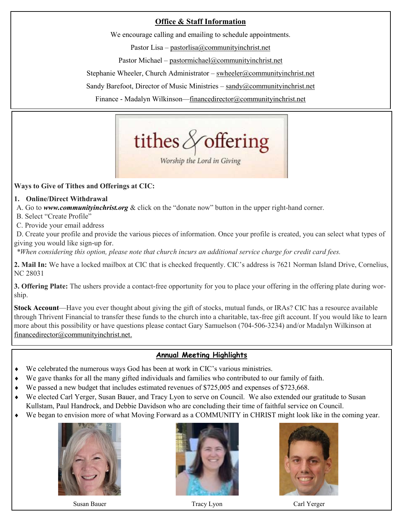#### **Office & Staff Information**

We encourage calling and emailing to schedule appointments.

Pastor Lisa – [pastorlisa@communityinchrist.net](mailto:pastorlisa@communityinchrist.net) 

Pastor Michael – [pastormichael@communityinchrist.net](mailto:pastormichael@communityinchrist.net)

Stephanie Wheeler, Church Administrator – [swheeler@communityinchrist.net](mailto:swheeler@communityinchrist.net)

Sandy Barefoot, Director of Music Ministries – [sandy@communityinchrist.net](mailto:sandy@communityinchrist.net)

Finance - Madalyn Wilkinson—financedirector@communityinchrist.net



#### **Ways to Give of Tithes and Offerings at CIC:**

**1. Online/Direct Withdrawal**

A. Go to *[www.communityinchrist.org](http://www.communityinchrist.org)* & click on the "donate now" button in the upper right-hand corner.

- B. Select "Create Profile"
- C. Provide your email address

D. Create your profile and provide the various pieces of information. Once your profile is created, you can select what types of giving you would like sign-up for.

*\*When considering this option, please note that church incurs an additional service charge for credit card fees.*

**2. Mail In:** We have a locked mailbox at CIC that is checked frequently. CIC's address is 7621 Norman Island Drive, Cornelius, NC 28031

**3. Offering Plate:** The ushers provide a contact-free opportunity for you to place your offering in the offering plate during worship.

**Stock Account**—Have you ever thought about giving the gift of stocks, mutual funds, or IRAs? CIC has a resource available through Thrivent Financial to transfer these funds to the church into a charitable, tax-free gift account. If you would like to learn more about this possibility or have questions please contact Gary Samuelson (704-506-3234) and/or Madalyn Wilkinson at [financedirector@communityinchrist.net.](mailto:financedirector@communityinchrist.net)

#### **Annual Meeting Highlights**

- We celebrated the numerous ways God has been at work in CIC's various ministries.
- We gave thanks for all the many gifted individuals and families who contributed to our family of faith.
- We passed a new budget that includes estimated revenues of \$725,005 and expenses of \$723,668.
- We elected Carl Yerger, Susan Bauer, and Tracy Lyon to serve on Council. We also extended our gratitude to Susan Kullstam, Paul Handrock, and Debbie Davidson who are concluding their time of faithful service on Council.
- We began to envision more of what Moving Forward as a COMMUNITY in CHRIST might look like in the coming year.



Susan Bauer Tracy Lyon Carl Yerger Carl Yerger





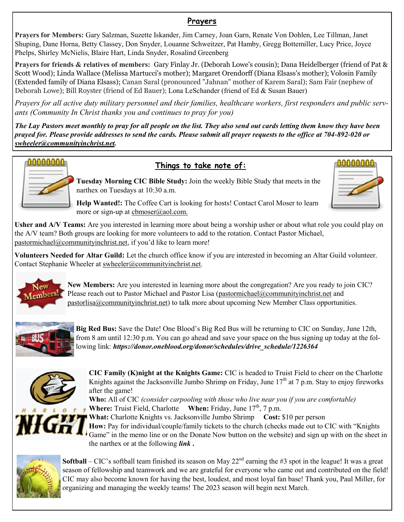#### **Prayers**

**Prayers for Members:** Gary Salzman, Suzette Iskander, Jim Carney, Joan Garn, Renate Von Dohlen, Lee Tillman, Janet Shuping, Dane Horna, Betty Classey, Don Snyder, Louanne Schweitzer, Pat Hamby, Gregg Bottemiller, Lucy Price, Joyce Phelps, Shirley McNielis, Blaire Hart, Linda Snyder, Rosalind Greenberg

**Prayers for friends & relatives of members:** Gary Finlay Jr. (Deborah Lowe's cousin); Dana Heidelberger (friend of Pat & Scott Wood); Linda Wallace (Melissa Martucci's mother); Margaret Orendorff (Diana Elsass's mother); Volosin Family (Extended family of Diana Elsass); Canan Saral (pronounced "Jahnan" mother of Karem Saral); Sam Fair (nephew of Deborah Lowe); Bill Royster (friend of Ed Bauer); Lona LeSchander (friend of Ed & Susan Bauer)

*Prayers for all active duty military personnel and their families, healthcare workers, first responders and public servants (Community In Christ thanks you and continues to pray for you)*

*The Lay Pastors meet monthly to pray for all people on the list. They also send out cards letting them know they have been prayed for. Please provide addresses to send the cards. Please submit all prayer requests to the office at 704-892-020 or [swheeler@communityinchrist.net.](mailto:swheeler@communityinchrist.net)* 



#### **Things to take note of:**

**Tuesday Morning CIC Bible Study:** Join the weekly Bible Study that meets in the narthex on Tuesdays at 10:30 a.m.

**Help Wanted!:** The Coffee Cart is looking for hosts! Contact Carol Moser to learn more or sign-up at cbmoser@aol.com.

**Usher and A/V Teams:** Are you interested in learning more about being a worship usher or about what role you could play on the A/V team? Both groups are looking for more volunteers to add to the rotation. Contact Pastor Michael, pastormichael@communityinchrist.net, if you'd like to learn more!

**Volunteers Needed for Altar Guild:** Let the church office know if you are interested in becoming an Altar Guild volunteer. Contact Stephanie Wheeler at swheeler@communityinchrist.net.



**New Members:** Are you interested in learning more about the congregation? Are you ready to join CIC? Please reach out to Pastor Michael and Pastor Lisa (pastormichael@communityinchrist.net and pastorlisa@communityinchrist.net) to talk more about upcoming New Member Class opportunities.



**Big Red Bus:** Save the Date! One Blood's Big Red Bus will be returning to CIC on Sunday, June 12th, from 8 am until 12:30 p.m. You can go ahead and save your space on the bus signing up today at the following link: *https://donor.oneblood.org/donor/schedules/drive\_schedule/1226364*



**CIC Family (K)night at the Knights Game:** CIC is headed to Truist Field to cheer on the Charlotte Knights against the Jacksonville Jumbo Shrimp on Friday, June  $17<sup>th</sup>$  at 7 p.m. Stay to enjoy fireworks after the game!

**Who:** All of CIC *(consider carpooling with those who live near you if you are comfortable)* **Where:** Truist Field, Charlotte **When:** Friday, June 17<sup>th</sup>, 7 p.m.



**What:** Charlotte Knights vs. Jacksonville Jumbo Shrimp **Cost:** \$10 per person How: Pay for individual/couple/family tickets to the church (checks made out to CIC with "Knights") Game" in the memo line or on the Donate Now button on the website) and sign up with on the sheet in the narthex or at the following *[link](https://www.signupgenius.com/go/70a094ba8af2fa46-take)* **.**



**Softball** – CIC's softball team finished its season on May  $22^{nd}$  earning the #3 spot in the league! It was a great season of fellowship and teamwork and we are grateful for everyone who came out and contributed on the field! CIC may also become known for having the best, loudest, and most loyal fan base! Thank you, Paul Miller, for organizing and managing the weekly teams! The 2023 season will begin next March.

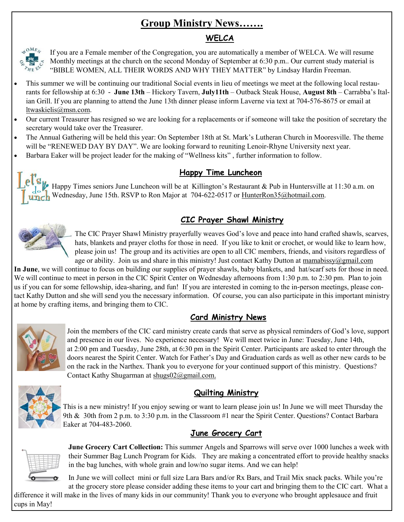## **Group Ministry News…….**

#### **WELCA**



If you are a Female member of the Congregation, you are automatically a member of WELCA. We will resume Monthly meetings at the church on the second Monday of September at 6:30 p.m.. Our current study material is "BIBLE WOMEN, ALL THEIR WORDS AND WHY THEY MATTER" by Lindsay Hardin Freeman.

- This summer we will be continuing our traditional Social events in lieu of meetings we meet at the following local restaurants for fellowship at 6:30 - **June 13th** – Hickory Tavern, **July11th** – Outback Steak House, **August 8th** – Carrabba's Italian Grill. If you are planning to attend the June 13th dinner please inform Laverne via text at 704-576-8675 or email at ltwaskielis@msn.com.
- Our current Treasurer has resigned so we are looking for a replacements or if someone will take the position of secretary the secretary would take over the Treasurer.
- The Annual Gathering will be held this year: On September 18th at St. Mark's Lutheran Church in Mooresville. The theme will be "RENEWED DAY BY DAY". We are looking forward to reuniting Lenoir-Rhyne University next year.
- Barbara Eaker will be project leader for the making of "Wellness kits" , further information to follow.

#### **Happy Time Luncheon**

el S<sub>I</sub> Happy Times seniors June Luncheon will be at Killington's Restaurant & Pub in Huntersville at 11:30 a.m. on unch Wednesday, June 15th. RSVP to Ron Major at 704-622-0517 or [HunterRon35@hotmail.com.](mailto:hunterron35@hotmail.com)

#### **CIC Prayer Shawl Ministry**



The CIC Prayer Shawl Ministry prayerfully weaves God's love and peace into hand crafted shawls, scarves, hats, blankets and prayer cloths for those in need. If you like to knit or crochet, or would like to learn how, please join us! The group and its activities are open to all CIC members, friends, and visitors regardless of age or ability. Join us and share in this ministry! Just contact Kathy Dutton at [mamabissy@gmail.com](mailto:mamabissy@gmail.com)

**In June**, we will continue to focus on building our supplies of prayer shawls, baby blankets, and hat/scarf sets for those in need. We will continue to meet in person in the CIC Spirit Center on Wednesday afternoons from 1:30 p.m. to 2:30 pm. Plan to join us if you can for some fellowship, idea-sharing, and fun! If you are interested in coming to the in-person meetings, please contact Kathy Dutton and she will send you the necessary information. Of course, you can also participate in this important ministry at home by crafting items, and bringing them to CIC.

#### **Card Ministry News**



Join the members of the CIC card ministry create cards that serve as physical reminders of God's love, support and presence in our lives. No experience necessary! We will meet twice in June: Tuesday, June 14th, at 2:00 pm and Tuesday, June 28th, at 6:30 pm in the Spirit Center. Participants are asked to enter through the doors nearest the Spirit Center. Watch for Father's Day and Graduation cards as well as other new cards to be on the rack in the Narthex. Thank you to everyone for your continued support of this ministry. Questions? Contact Kathy Shugarman at [shugs02@gmail.com.](mailto:shugs02@gmail.com)



#### **Quilting Ministry**

This is a new ministry! If you enjoy sewing or want to learn please join us! In June we will meet Thursday the 9th & 30th from 2 p.m. to 3:30 p.m. in the Classroom #1 near the Spirit Center. Questions? Contact Barbara Eaker at 704-483-2060.

#### **June Grocery Cart**



**June Grocery Cart Collection:** This summer Angels and Sparrows will serve over 1000 lunches a week with their Summer Bag Lunch Program for Kids. They are making a concentrated effort to provide healthy snacks in the bag lunches, with whole grain and low/no sugar items. And we can help!

In June we will collect mini or full size Lara Bars and/or Rx Bars, and Trail Mix snack packs. While you're at the grocery store please consider adding these items to your cart and bringing them to the CIC cart. What a

difference it will make in the lives of many kids in our community! Thank you to everyone who brought applesauce and fruit cups in May!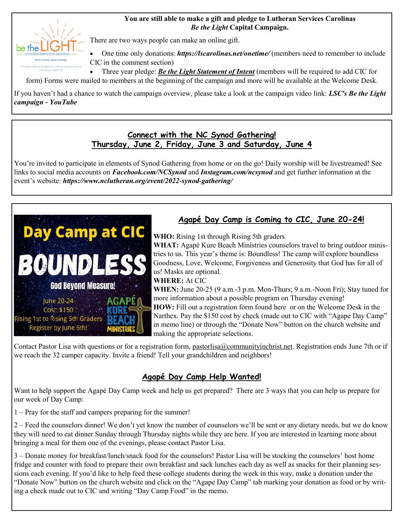#### **You are still able to make a gift and pledge to Lutheran Services Carolinas**  *Be the Light* **Capital Campaign.**



There are two ways people can make an online gift.

• One time only donations: *[https://lscarolinas.net/onetime/](https://r20.rs6.net/tn.jsp?f=001Vf33EKUFgOS6xu5jU8_GtNw18ZwVR6FXrMacS8Q7vFXKsBUOXmv9FPPjUXjSnkU86gPTwHIfZydQ6GRR1pl6SFoNg6ONffftqxs8zUfSmGOZrnhGb7i13OP_T-jGl6V8c63BQaNphHgFyeQgiO_AZRdCi8Pt-Nln&c=rD3YOACCtXuXhTzSz3tb3Bsz3e7zC8N_O5nTpsghE-XP6rhuGA4aVw==&ch=YMnn)* (members need to remember to include CIC in the comment section)

• Three year pledge: *[Be the Light Statement of Intent](https://docs.google.com/forms/d/e/1FAIpQLSeuEkkVNsRxOZbkRc3ruhPqVwbuuzpdxD3f7-QpbJotyVlDzg/viewform)* (members will be required to add CIC for

form) Forms were mailed to members at the beginning of the campaign and more will be available at the Welcome Desk.

If you haven't had a chance to watch the campaign overview, please take a look at the campaign video link: *[LSC's Be the Light](https://r20.rs6.net/tn.jsp?f=001Vf33EKUFgOS6xu5jU8_GtNw18ZwVR6FXrMacS8Q7vFXKsBUOXmv9FOTxZ8zfd1eulVuOPFYJ1b9muXR78zOKYWngcJyq4AKdu1SY8nXDg9hmrPS0pIRxPTMO_0RTYJ8hInYHvoCMqQ4o3XxHJBKQRsGGiQ8y1z0q2jV8iptLY9sTFNVR9kDQ6w==&c=rD3YOACCtXuXhTzSz3tb3Bsz3e7zC8N_O5nTpsgh)  [campaign -](https://r20.rs6.net/tn.jsp?f=001Vf33EKUFgOS6xu5jU8_GtNw18ZwVR6FXrMacS8Q7vFXKsBUOXmv9FOTxZ8zfd1eulVuOPFYJ1b9muXR78zOKYWngcJyq4AKdu1SY8nXDg9hmrPS0pIRxPTMO_0RTYJ8hInYHvoCMqQ4o3XxHJBKQRsGGiQ8y1z0q2jV8iptLY9sTFNVR9kDQ6w==&c=rD3YOACCtXuXhTzSz3tb3Bsz3e7zC8N_O5nTpsgh) YouTube*

#### **Connect with the NC Synod Gathering! Thursday, June 2, Friday, June 3 and Saturday, June 4**

You're invited to participate in elements of Synod Gathering from home or on the go! Daily worship will be livestreamed! See links to social media accounts on *[Facebook.com/NCSynod](https://www.facebook.com/NCSynod)* and *[Instagram.com/ncsynod](https://www.instagram.com/ncsynod/)* and get further information at the event's website: *<https://www.nclutheran.org/event/2022-synod-gathering/>*



#### **Agapé Day Camp is Coming to CIC, June 20-24!**

**WHO:** Rising 1st through Rising 5th graders

**WHAT:** Agapé Kure Beach Ministries counselors travel to bring outdoor ministries to us. This year's theme is: Boundless! The camp will explore boundless Goodness, Love, Welcome, Forgiveness and Generosity that God has for all of us! Masks are optional.

#### **WHERE:** At CIC

**WHEN:** June 20-25 (9 a.m.-3 p.m. Mon-Thurs; 9 a.m.-Noon Fri); Stay tuned for more information about a possible program on Thursday evening! **HOW:** Fill out a registration form found here or on the Welcome Desk in the Narthex. Pay the \$150 cost by check (made out to CIC with "Agape Day Camp" in memo line) or through the "Donate Now" button on the church website and making the appropriate selections.

Contact Pastor Lisa with questions or for a registration form, pastorlisa@communityinchrist.net. Registration ends June 7th or if we reach the 32 camper capacity. Invite a friend! Tell your grandchildren and neighbors!

#### **Agapé Day Camp Help Wanted!**

Want to help support the Agapé Day Camp week and help us get prepared? There are 3 ways that you can help us prepare for our week of Day Camp:

1 – Pray for the staff and campers preparing for the summer!

2 – Feed the counselors dinner! We don't yet know the number of counselors we'll be sent or any dietary needs, but we do know they will need to eat dinner Sunday through Thursday nights while they are here. If you are interested in learning more about bringing a meal for them one of the evenings, please contact Pastor Lisa.

3 – Donate money for breakfast/lunch/snack food for the counselors! Pastor Lisa will be stocking the counselors' host home fridge and counter with food to prepare their own breakfast and sack lunches each day as well as snacks for their planning sessions each evening. If you'd like to help feed these college students during the week in this way, make a donation under the "Donate Now" button on the church website and click on the "Agape Day Camp" tab marking your donation as food or by writing a check made out to CIC and writing "Day Camp Food" in the memo.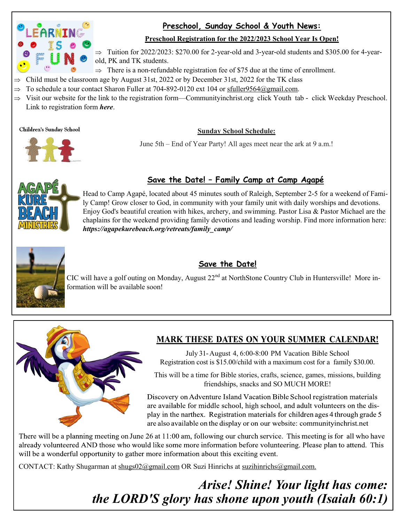

#### **Preschool, Sunday School & Youth News:**

#### **Preschool Registration for the 2022/2023 School Year Is Open!**

 $\Rightarrow$  Tuition for 2022/2023: \$270.00 for 2-year-old and 3-year-old students and \$305.00 for 4-yearold, PK and TK students.

- $\Rightarrow$  There is a non-refundable registration fee of \$75 due at the time of enrollment.
- Child must be classroom age by August 31st, 2022 or by December 31st, 2022 for the TK class
- $\Rightarrow$  To schedule a tour contact Sharon Fuller at 704-892-0120 ext 104 or [sfuller9564@gmail.com.](mailto:sfuller9564@gmail.com)
- $\Rightarrow$  Visit our website for the link to the registration form—Communityinchrist.org click Youth tab click Weekday Preschool. Link to registration form *[here](https://www.communityinchrist.org/preschool-cornelius-lake-norman-nc)*.

**Children's Sunday School** 

#### **Sunday School Schedule:**

June 5th – End of Year Party! All ages meet near the ark at 9 a.m.!



#### **Save the Date! – Family Camp at Camp Agapé**



Head to Camp Agapé, located about 45 minutes south of Raleigh, September 2-5 for a weekend of Family Camp! Grow closer to God, in community with your family unit with daily worships and devotions. Enjoy God's beautiful creation with hikes, archery, and swimming. Pastor Lisa & Pastor Michael are the chaplains for the weekend providing family devotions and leading worship. Find more information here: *[https://agapekurebeach.org/retreats/family\\_camp/](https://agapekurebeach.org/retreats/family_camp/)*



#### **Save the Date!**

CIC will have a golf outing on Monday, August 22<sup>nd</sup> at NorthStone Country Club in Huntersville! More information will be available soon!



#### **MARK THESE DATES ON YOUR SUMMER CALENDAR!**

July 31-August 4, 6:00-8:00 PM Vacation Bible School Registration cost is \$15.00/child with a maximum cost for a family \$30.00.

This will be a time for Bible stories, crafts, science, games, missions, building friendships, snacks and SO MUCH MORE!

Discovery on Adventure Island Vacation Bible School registration materials are available for middle school, high school, and adult volunteers on the display in the narthex. Registration materials for children ages 4 through grade 5 are also available on the display or on our website: community inchrist.net

There will be a planning meeting on June 26 at 11:00 am, following our church service. This meeting is for all who have already volunteered AND those who would like some more information before volunteering. Please plan to attend. This will be a wonderful opportunity to gather more information about this exciting event.

CONTACT: Kathy Shugarman at [shugs02@gmail.com](mailto:shugs02@gmail.com) OR Suzi Hinrichs at suzihinrichs@gmail.com.

*Arise! Shine! Your light has come: the LORD'S glory has shone upon youth (Isaiah 60:1)*